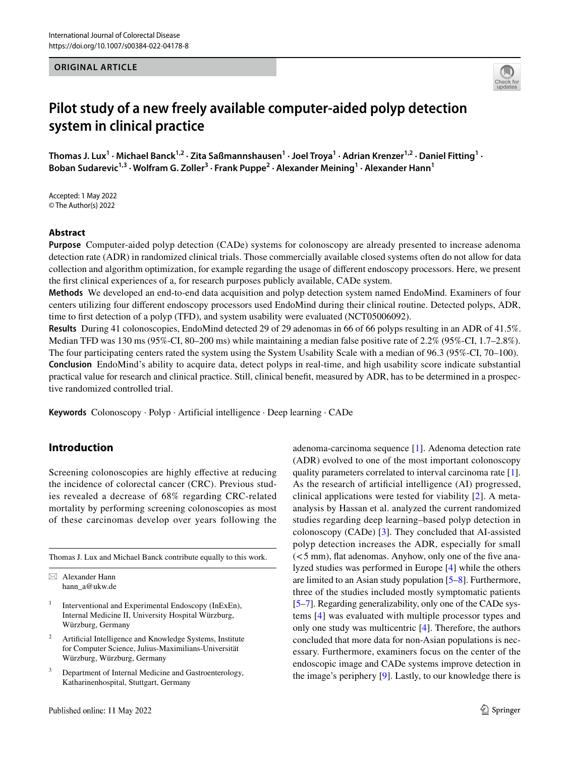#### **ORIGINAL ARTICLE**



# **Pilot study of a new freely available computer‑aided polyp detection system in clinical practice**

Thomas J. Lux<sup>1</sup> · Michael Banck<sup>1,2</sup> · Zita Saßmannshausen<sup>1</sup> · Joel Troya<sup>1</sup> · Adrian Krenzer<sup>1,2</sup> · Daniel Fitting<sup>1</sup> · Boban Sudarevic<sup>1,3</sup> • Wolfram G. Zoller<sup>3</sup> • Frank Puppe<sup>2</sup> • Alexander Meining<sup>1</sup> • Alexander Hann<sup>1</sup>

Accepted: 1 May 2022 © The Author(s) 2022

#### **Abstract**

**Purpose** Computer-aided polyp detection (CADe) systems for colonoscopy are already presented to increase adenoma detection rate (ADR) in randomized clinical trials. Those commercially available closed systems often do not allow for data collection and algorithm optimization, for example regarding the usage of diferent endoscopy processors. Here, we present the frst clinical experiences of a, for research purposes publicly available, CADe system.

**Methods** We developed an end-to-end data acquisition and polyp detection system named EndoMind. Examiners of four centers utilizing four diferent endoscopy processors used EndoMind during their clinical routine. Detected polyps, ADR, time to first detection of a polyp (TFD), and system usability were evaluated (NCT05006092).

**Results** During 41 colonoscopies, EndoMind detected 29 of 29 adenomas in 66 of 66 polyps resulting in an ADR of 41.5%. Median TFD was 130 ms (95%-CI, 80–200 ms) while maintaining a median false positive rate of 2.2% (95%-CI, 1.7–2.8%). The four participating centers rated the system using the System Usability Scale with a median of 96.3 (95%-CI, 70–100). **Conclusion** EndoMind's ability to acquire data, detect polyps in real-time, and high usability score indicate substantial practical value for research and clinical practice. Still, clinical beneft, measured by ADR, has to be determined in a prospective randomized controlled trial.

**Keywords** Colonoscopy · Polyp · Artificial intelligence · Deep learning · CADe

# **Introduction**

Screening colonoscopies are highly effective at reducing the incidence of colorectal cancer (CRC). Previous studies revealed a decrease of 68% regarding CRC-related mortality by performing screening colonoscopies as most of these carcinomas develop over years following the

Thomas J. Lux and Michael Banck contribute equally to this work.

- Interventional and Experimental Endoscopy (InExEn), Internal Medicine II, University Hospital Würzburg, Würzburg, Germany
- <sup>2</sup> Artificial Intelligence and Knowledge Systems, Institute for Computer Science, Julius-Maximilians-Universität Würzburg, Würzburg, Germany
- Department of Internal Medicine and Gastroenterology, Katharinenhospital, Stuttgart, Germany

adenoma-carcinoma sequence [[1\]](#page-4-0). Adenoma detection rate (ADR) evolved to one of the most important colonoscopy quality parameters correlated to interval carcinoma rate [\[1](#page-4-0)]. As the research of artifcial intelligence (AI) progressed, clinical applications were tested for viability [[2\]](#page-4-1). A metaanalysis by Hassan et al. analyzed the current randomized studies regarding deep learning–based polyp detection in colonoscopy (CADe) [[3\]](#page-4-2). They concluded that AI-assisted polyp detection increases the ADR, especially for small  $(< 5$  mm), flat adenomas. Anyhow, only one of the five analyzed studies was performed in Europe [[4\]](#page-4-3) while the others are limited to an Asian study population [\[5–](#page-4-4)[8\]](#page-5-0). Furthermore, three of the studies included mostly symptomatic patients [\[5](#page-4-4)[–7](#page-5-1)]. Regarding generalizability, only one of the CADe systems [[4](#page-4-3)] was evaluated with multiple processor types and only one study was multicentric [\[4](#page-4-3)]. Therefore, the authors concluded that more data for non-Asian populations is necessary. Furthermore, examiners focus on the center of the endoscopic image and CADe systems improve detection in the image's periphery [[9\]](#page-5-2). Lastly, to our knowledge there is

 $\boxtimes$  Alexander Hann hann\_a@ukw.de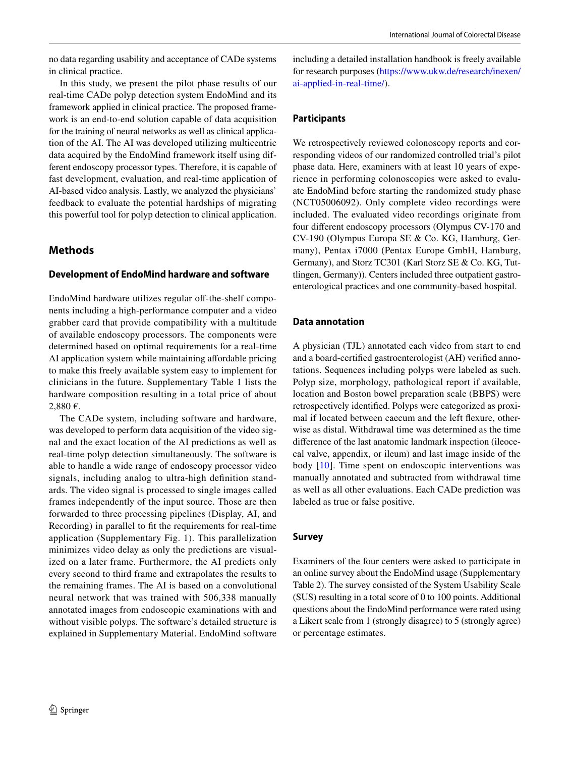no data regarding usability and acceptance of CADe systems in clinical practice.

In this study, we present the pilot phase results of our real-time CADe polyp detection system EndoMind and its framework applied in clinical practice. The proposed framework is an end-to-end solution capable of data acquisition for the training of neural networks as well as clinical application of the AI. The AI was developed utilizing multicentric data acquired by the EndoMind framework itself using different endoscopy processor types. Therefore, it is capable of fast development, evaluation, and real-time application of AI-based video analysis. Lastly, we analyzed the physicians' feedback to evaluate the potential hardships of migrating this powerful tool for polyp detection to clinical application.

## **Methods**

#### **Development of EndoMind hardware and software**

EndoMind hardware utilizes regular off-the-shelf components including a high-performance computer and a video grabber card that provide compatibility with a multitude of available endoscopy processors. The components were determined based on optimal requirements for a real-time AI application system while maintaining afordable pricing to make this freely available system easy to implement for clinicians in the future. Supplementary Table 1 lists the hardware composition resulting in a total price of about 2,880 €.

The CADe system, including software and hardware, was developed to perform data acquisition of the video signal and the exact location of the AI predictions as well as real-time polyp detection simultaneously. The software is able to handle a wide range of endoscopy processor video signals, including analog to ultra-high defnition standards. The video signal is processed to single images called frames independently of the input source. Those are then forwarded to three processing pipelines (Display, AI, and Recording) in parallel to ft the requirements for real-time application (Supplementary Fig. 1). This parallelization minimizes video delay as only the predictions are visualized on a later frame. Furthermore, the AI predicts only every second to third frame and extrapolates the results to the remaining frames. The AI is based on a convolutional neural network that was trained with 506,338 manually annotated images from endoscopic examinations with and without visible polyps. The software's detailed structure is explained in Supplementary Material. EndoMind software including a detailed installation handbook is freely available for research purposes ([https://www.ukw.de/research/inexen/](https://www.ukw.de/research/inexen/ai-applied-in-real-time/) [ai-applied-in-real-time/\)](https://www.ukw.de/research/inexen/ai-applied-in-real-time/).

## **Participants**

We retrospectively reviewed colonoscopy reports and corresponding videos of our randomized controlled trial's pilot phase data. Here, examiners with at least 10 years of experience in performing colonoscopies were asked to evaluate EndoMind before starting the randomized study phase (NCT05006092). Only complete video recordings were included. The evaluated video recordings originate from four diferent endoscopy processors (Olympus CV-170 and CV-190 (Olympus Europa SE & Co. KG, Hamburg, Germany), Pentax i7000 (Pentax Europe GmbH, Hamburg, Germany), and Storz TC301 (Karl Storz SE & Co. KG, Tuttlingen, Germany)). Centers included three outpatient gastroenterological practices and one community-based hospital.

## **Data annotation**

A physician (TJL) annotated each video from start to end and a board-certifed gastroenterologist (AH) verifed annotations. Sequences including polyps were labeled as such. Polyp size, morphology, pathological report if available, location and Boston bowel preparation scale (BBPS) were retrospectively identifed. Polyps were categorized as proximal if located between caecum and the left fexure, otherwise as distal. Withdrawal time was determined as the time diference of the last anatomic landmark inspection (ileocecal valve, appendix, or ileum) and last image inside of the body [[10\]](#page-5-3). Time spent on endoscopic interventions was manually annotated and subtracted from withdrawal time as well as all other evaluations. Each CADe prediction was labeled as true or false positive.

## **Survey**

Examiners of the four centers were asked to participate in an online survey about the EndoMind usage (Supplementary Table 2). The survey consisted of the System Usability Scale (SUS) resulting in a total score of 0 to 100 points. Additional questions about the EndoMind performance were rated using a Likert scale from 1 (strongly disagree) to 5 (strongly agree) or percentage estimates.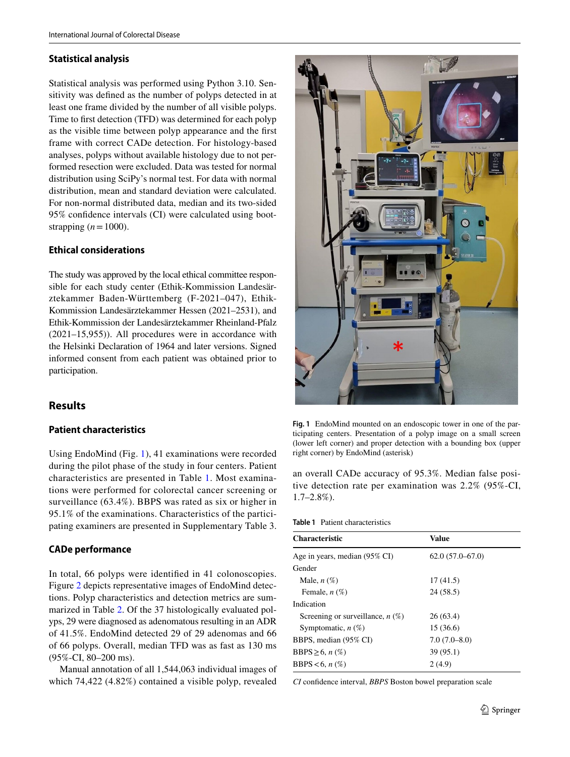#### **Statistical analysis**

Statistical analysis was performed using Python 3.10. Sensitivity was defned as the number of polyps detected in at least one frame divided by the number of all visible polyps. Time to frst detection (TFD) was determined for each polyp as the visible time between polyp appearance and the frst frame with correct CADe detection. For histology-based analyses, polyps without available histology due to not performed resection were excluded. Data was tested for normal distribution using SciPy's normal test. For data with normal distribution, mean and standard deviation were calculated. For non-normal distributed data, median and its two-sided 95% confdence intervals (CI) were calculated using bootstrapping  $(n=1000)$ .

## **Ethical considerations**

The study was approved by the local ethical committee responsible for each study center (Ethik-Kommission Landesärztekammer Baden-Württemberg (F-2021–047), Ethik-Kommission Landesärztekammer Hessen (2021–2531), and Ethik-Kommission der Landesärztekammer Rheinland-Pfalz (2021–15,955)). All procedures were in accordance with the Helsinki Declaration of 1964 and later versions. Signed informed consent from each patient was obtained prior to participation.

# **Results**

## **Patient characteristics**

Using EndoMind (Fig. [1](#page-2-0)), 41 examinations were recorded during the pilot phase of the study in four centers. Patient characteristics are presented in Table [1.](#page-2-1) Most examinations were performed for colorectal cancer screening or surveillance (63.4%). BBPS was rated as six or higher in 95.1% of the examinations. Characteristics of the participating examiners are presented in Supplementary Table 3.

## **CADe performance**

In total, 66 polyps were identifed in 41 colonoscopies. Figure [2](#page-3-0) depicts representative images of EndoMind detections. Polyp characteristics and detection metrics are summarized in Table [2.](#page-3-1) Of the 37 histologically evaluated polyps, 29 were diagnosed as adenomatous resulting in an ADR of 41.5%. EndoMind detected 29 of 29 adenomas and 66 of 66 polyps. Overall, median TFD was as fast as 130 ms (95%-CI, 80–200 ms).

Manual annotation of all 1,544,063 individual images of which 74,422 (4.82%) contained a visible polyp, revealed



**Fig. 1** EndoMind mounted on an endoscopic tower in one of the participating centers. Presentation of a polyp image on a small screen (lower left corner) and proper detection with a bounding box (upper right corner) by EndoMind (asterisk)

<span id="page-2-0"></span>an overall CADe accuracy of 95.3%. Median false positive detection rate per examination was 2.2% (95%-CI, 1.7–2.8%).

<span id="page-2-1"></span>

| Value             |
|-------------------|
| $62.0(57.0-67.0)$ |
|                   |
| 17(41.5)          |
| 24 (58.5)         |
|                   |
| 26(63.4)          |
| 15 (36.6)         |
| $7.0(7.0-8.0)$    |
| 39 (95.1)         |
| 2(4.9)            |
|                   |

*CI* confdence interval, *BBPS* Boston bowel preparation scale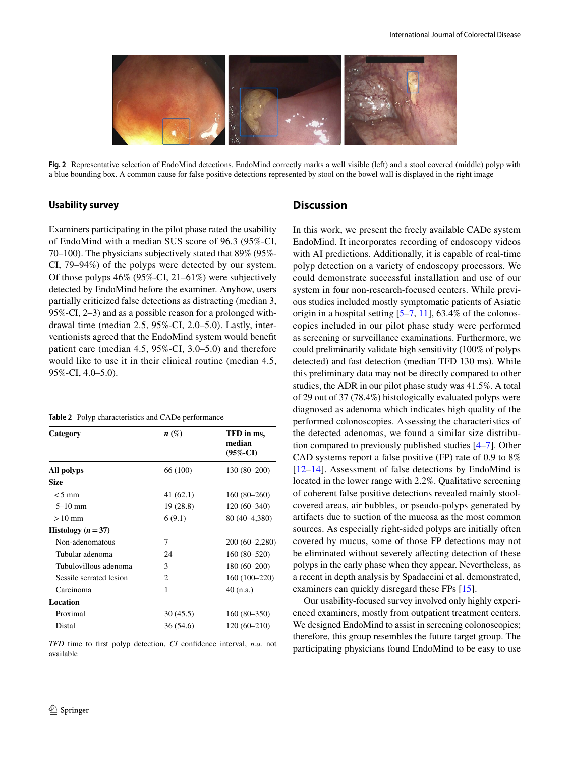

<span id="page-3-0"></span>**Fig. 2** Representative selection of EndoMind detections. EndoMind correctly marks a well visible (left) and a stool covered (middle) polyp with a blue bounding box. A common cause for false positive detections represented by stool on the bowel wall is displayed in the right image

#### **Usability survey**

Examiners participating in the pilot phase rated the usability of EndoMind with a median SUS score of 96.3 (95%-CI, 70–100). The physicians subjectively stated that 89% (95%- CI, 79–94%) of the polyps were detected by our system. Of those polyps 46% (95%-CI, 21–61%) were subjectively detected by EndoMind before the examiner. Anyhow, users partially criticized false detections as distracting (median 3, 95%-CI, 2–3) and as a possible reason for a prolonged withdrawal time (median 2.5, 95%-CI, 2.0–5.0). Lastly, interventionists agreed that the EndoMind system would beneft patient care (median 4.5, 95%-CI, 3.0–5.0) and therefore would like to use it in their clinical routine (median 4.5, 95%-CI, 4.0–5.0).

<span id="page-3-1"></span>

|  |  | <b>Table 2</b> Polyp characteristics and CADe performance |  |  |  |
|--|--|-----------------------------------------------------------|--|--|--|
|--|--|-----------------------------------------------------------|--|--|--|

| Category                | $n\ (\%)$      | TFD in ms,<br>median<br>$(95\% - CI)$ |
|-------------------------|----------------|---------------------------------------|
| All polyps              | 66 (100)       | 130 (80–200)                          |
| <b>Size</b>             |                |                                       |
| $< 5 \text{ mm}$        | 41 (62.1)      | $160(80-260)$                         |
| $5 - 10$ mm             | 19 (28.8)      | $120(60-340)$                         |
| $>10$ mm                | 6(9.1)         | 80 (40–4,380)                         |
| Histology $(n=37)$      |                |                                       |
| Non-adenomatous         | 7              | $200(60-2,280)$                       |
| Tubular adenoma         | 24             | 160 (80–520)                          |
| Tubulovillous adenoma   | 3              | 180 (60–200)                          |
| Sessile serrated lesion | $\overline{c}$ | 160 (100-220)                         |
| Carcinoma               | 1              | $40$ (n.a.)                           |
| Location                |                |                                       |
| Proximal                | 30(45.5)       | 160 (80–350)                          |
| Distal                  | 36 (54.6)      | 120 (60–210)                          |

*TFD* time to first polyp detection, *CI* confidence interval, *n.a.* not available

#### **Discussion**

In this work, we present the freely available CADe system EndoMind. It incorporates recording of endoscopy videos with AI predictions. Additionally, it is capable of real-time polyp detection on a variety of endoscopy processors. We could demonstrate successful installation and use of our system in four non-research-focused centers. While previous studies included mostly symptomatic patients of Asiatic origin in a hospital setting  $[5-7, 11]$  $[5-7, 11]$  $[5-7, 11]$  $[5-7, 11]$ , 63.4% of the colonoscopies included in our pilot phase study were performed as screening or surveillance examinations. Furthermore, we could preliminarily validate high sensitivity (100% of polyps detected) and fast detection (median TFD 130 ms). While this preliminary data may not be directly compared to other studies, the ADR in our pilot phase study was 41.5%. A total of 29 out of 37 (78.4%) histologically evaluated polyps were diagnosed as adenoma which indicates high quality of the performed colonoscopies. Assessing the characteristics of the detected adenomas, we found a similar size distribution compared to previously published studies [[4–](#page-4-3)[7\]](#page-5-1). Other CAD systems report a false positive (FP) rate of 0.9 to 8% [[12–](#page-5-5)[14\]](#page-5-6). Assessment of false detections by EndoMind is located in the lower range with 2.2%. Qualitative screening of coherent false positive detections revealed mainly stoolcovered areas, air bubbles, or pseudo-polyps generated by artifacts due to suction of the mucosa as the most common sources. As especially right-sided polyps are initially often covered by mucus, some of those FP detections may not be eliminated without severely affecting detection of these polyps in the early phase when they appear. Nevertheless, as a recent in depth analysis by Spadaccini et al. demonstrated, examiners can quickly disregard these FPs [[15\]](#page-5-7).

Our usability-focused survey involved only highly experienced examiners, mostly from outpatient treatment centers. We designed EndoMind to assist in screening colonoscopies; therefore, this group resembles the future target group. The participating physicians found EndoMind to be easy to use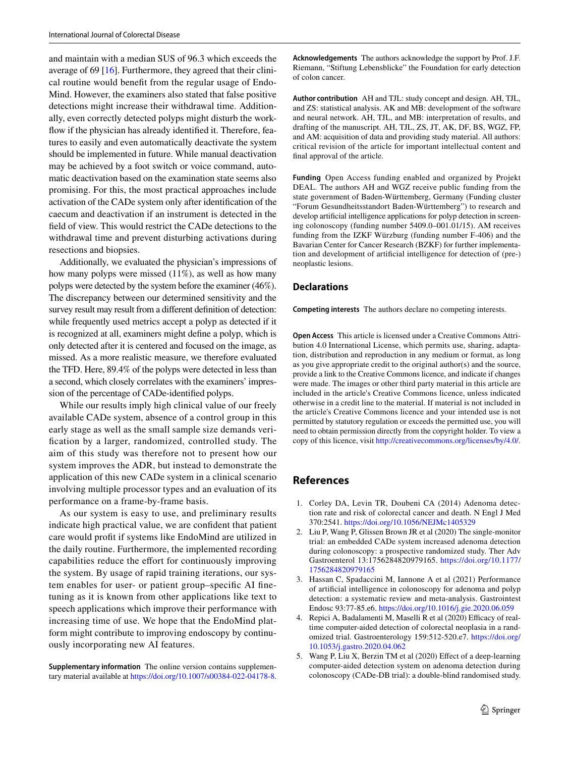and maintain with a median SUS of 96.3 which exceeds the average of 69 [\[16](#page-5-8)]. Furthermore, they agreed that their clinical routine would beneft from the regular usage of Endo-Mind. However, the examiners also stated that false positive detections might increase their withdrawal time. Additionally, even correctly detected polyps might disturb the workfow if the physician has already identifed it. Therefore, features to easily and even automatically deactivate the system should be implemented in future. While manual deactivation may be achieved by a foot switch or voice command, automatic deactivation based on the examination state seems also promising. For this, the most practical approaches include activation of the CADe system only after identifcation of the caecum and deactivation if an instrument is detected in the feld of view. This would restrict the CADe detections to the withdrawal time and prevent disturbing activations during resections and biopsies.

Additionally, we evaluated the physician's impressions of how many polyps were missed (11%), as well as how many polyps were detected by the system before the examiner (46%). The discrepancy between our determined sensitivity and the survey result may result from a diferent defnition of detection: while frequently used metrics accept a polyp as detected if it is recognized at all, examiners might defne a polyp, which is only detected after it is centered and focused on the image, as missed. As a more realistic measure, we therefore evaluated the TFD. Here, 89.4% of the polyps were detected in less than a second, which closely correlates with the examiners' impression of the percentage of CADe-identifed polyps.

While our results imply high clinical value of our freely available CADe system, absence of a control group in this early stage as well as the small sample size demands verifcation by a larger, randomized, controlled study. The aim of this study was therefore not to present how our system improves the ADR, but instead to demonstrate the application of this new CADe system in a clinical scenario involving multiple processor types and an evaluation of its performance on a frame-by-frame basis.

As our system is easy to use, and preliminary results indicate high practical value, we are confdent that patient care would proft if systems like EndoMind are utilized in the daily routine. Furthermore, the implemented recording capabilities reduce the efort for continuously improving the system. By usage of rapid training iterations, our system enables for user- or patient group–specifc AI fnetuning as it is known from other applications like text to speech applications which improve their performance with increasing time of use. We hope that the EndoMind platform might contribute to improving endoscopy by continuously incorporating new AI features.

**Supplementary information** The online version contains supplementary material available at<https://doi.org/10.1007/s00384-022-04178-8>. **Acknowledgements** The authors acknowledge the support by Prof. J.F. Riemann, "Stiftung Lebensblicke" the Foundation for early detection of colon cancer.

**Author contribution** AH and TJL: study concept and design. AH, TJL, and ZS: statistical analysis. AK and MB: development of the software and neural network. AH, TJL, and MB: interpretation of results, and drafting of the manuscript. AH, TJL, ZS, JT, AK, DF, BS, WGZ, FP, and AM: acquisition of data and providing study material. All authors: critical revision of the article for important intellectual content and fnal approval of the article.

**Funding** Open Access funding enabled and organized by Projekt DEAL. The authors AH and WGZ receive public funding from the state government of Baden-Württemberg, Germany (Funding cluster "Forum Gesundheitsstandort Baden-Württemberg") to research and develop artifcial intelligence applications for polyp detection in screening colonoscopy (funding number 5409.0–001.01/15). AM receives funding from the IZKF Würzburg (funding number F-406) and the Bavarian Center for Cancer Research (BZKF) for further implementation and development of artifcial intelligence for detection of (pre-) neoplastic lesions.

## **Declarations**

**Competing interests** The authors declare no competing interests.

**Open Access** This article is licensed under a Creative Commons Attribution 4.0 International License, which permits use, sharing, adaptation, distribution and reproduction in any medium or format, as long as you give appropriate credit to the original author(s) and the source, provide a link to the Creative Commons licence, and indicate if changes were made. The images or other third party material in this article are included in the article's Creative Commons licence, unless indicated otherwise in a credit line to the material. If material is not included in the article's Creative Commons licence and your intended use is not permitted by statutory regulation or exceeds the permitted use, you will need to obtain permission directly from the copyright holder. To view a copy of this licence, visit<http://creativecommons.org/licenses/by/4.0/>.

# **References**

- <span id="page-4-0"></span>1. Corley DA, Levin TR, Doubeni CA (2014) Adenoma detection rate and risk of colorectal cancer and death. N Engl J Med 370:2541. <https://doi.org/10.1056/NEJMc1405329>
- <span id="page-4-1"></span>2. Liu P, Wang P, Glissen Brown JR et al (2020) The single-monitor trial: an embedded CADe system increased adenoma detection during colonoscopy: a prospective randomized study. Ther Adv Gastroenterol 13:1756284820979165. [https://doi.org/10.1177/](https://doi.org/10.1177/1756284820979165) [1756284820979165](https://doi.org/10.1177/1756284820979165)
- <span id="page-4-2"></span>3. Hassan C, Spadaccini M, Iannone A et al (2021) Performance of artifcial intelligence in colonoscopy for adenoma and polyp detection: a systematic review and meta-analysis. Gastrointest Endosc 93:77-85.e6.<https://doi.org/10.1016/j.gie.2020.06.059>
- <span id="page-4-3"></span>4. Repici A, Badalamenti M, Maselli R et al (2020) Efficacy of realtime computer-aided detection of colorectal neoplasia in a randomized trial. Gastroenterology 159:512-520.e7. [https://doi.org/](https://doi.org/10.1053/j.gastro.2020.04.062) [10.1053/j.gastro.2020.04.062](https://doi.org/10.1053/j.gastro.2020.04.062)
- <span id="page-4-4"></span>5. Wang P, Liu X, Berzin TM et al (2020) Efect of a deep-learning computer-aided detection system on adenoma detection during colonoscopy (CADe-DB trial): a double-blind randomised study.